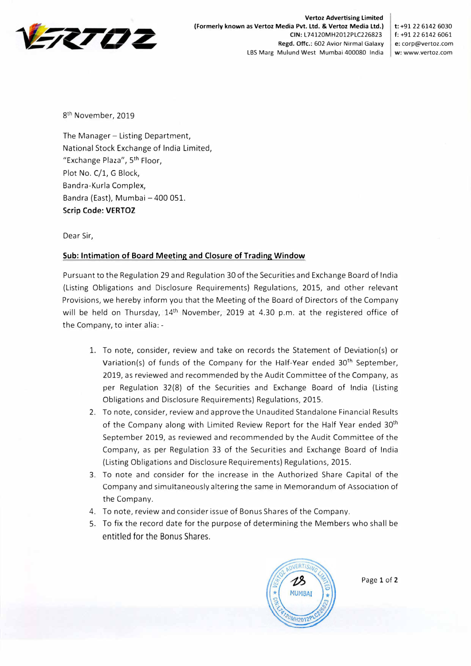

**Vertoz Advertising Limited (Formerly known as Vertoz Media Pvt. Ltd. & Vertoz Media Ltd.) t: +91 22 6142 6030 CIN:** L74120MH2012PLC226823 f: +91 22 6142 6061 **Regd. Offc.:** 602 Avior Nirmal Galaxy **e:** corp@vertoz.com LBS Marg Mulund West Mumbai 400080 India **w:** www.vertoz.com

8<sup>th</sup> November, 2019

The Manager - Listing Department, National Stock Exchange of India Limited, "Exchange Plaza", 5 th Floor, Plot No. C/1, G Block, Bandra-Kurla Complex, Bandra (East), Mumbai - 400 051. **Scrip Code: VERTOZ** 

Dear Sir,

## **Sub: Intimation of Board Meeting and Closure of Trading Window**

Pursuant to the Regulation 29 and Regulation 30 of the Securities and Exchange Board of India (Listing Obligations and Disclosure Requirements) Regulations, 2015, and other relevant Provisions, we hereby inform you that the Meeting of the Board of Directors of the Company will be held on Thursday,  $14<sup>th</sup>$  November, 2019 at 4.30 p.m. at the registered office of the Company, to inter alia: -

- 1. To note, consider, review and take on records the Statement of Deviation(s) or Variation(s) of funds of the Company for the Half-Year ended  $30<sup>th</sup>$  September, 2019, as reviewed and recommended by the Audit Committee of the Company, as per Regulation 32(8) of the Securities and Exchange Board of India (Listing Obligations and Disclosure Requirements) Regulations, 2015.
- 2. To note, consider, review and approve the Unaudited Standalone Financial Results of the Company along with Limited Review Report for the Half Year ended 30<sup>th</sup> September 2019, as reviewed and recommended by the Audit Committee of the Company, as per Regulation 33 of the Securities and Exchange Board of India (Listing Obligations and Disclosure Requirements) Regulations, 2015.
- 3. To note and consider for the increase in the Authorized Share Capital of the Company and simultaneously altering the same in Memorandum of Association of the Company.
- 4. To note, review and consider issue of Bonus Shares of the Company.
- 5. To fix the record date for the purpose of determining the Members who shall be entitled for the Bonus Shares.



Page 1 of 2